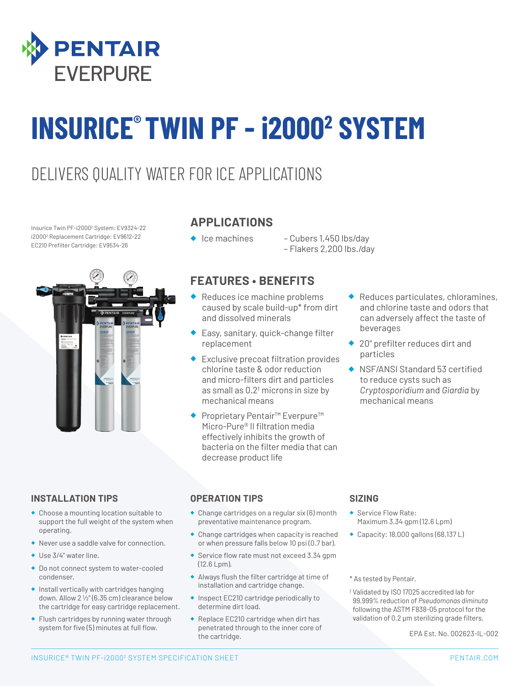

# **INSURICE® TWIN PF - i20002 SYSTEM**

### DELIVERS QUALITY WATER FOR ICE APPLICATIONS

Insurice Twin PF-i20002 System: EV9324-22 i20002 Replacement Cartridge: EV9612-22 EC210 Prefilter Cartridge: EV9534-26



#### **APPLICATIONS**

- ◆ Ice machines Cubers 1,450 lbs/day
	- Flakers 2,200 lbs./day

#### **FEATURES • BENEFITS**

- ◆ Reduces ice machine problems caused by scale build-up\* from dirt and dissolved minerals
- ◆ Easy, sanitary, quick-change filter replacement
- Exclusive precoat filtration provides chlorine taste & odor reduction and micro-filters dirt and particles as small as  $0.2<sup>†</sup>$  microns in size by mechanical means
- ◆ Proprietary Pentair<sup>™</sup> Everpure<sup>™</sup> Micro-Pure® II filtration media effectively inhibits the growth of bacteria on the filter media that can decrease product life
- Reduces particulates, chloramines, and chlorine taste and odors that can adversely affect the taste of beverages
- ◆ 20" prefilter reduces dirt and particles
- ◆ NSF/ANSI Standard 53 certified to reduce cysts such as *Cryptosporidium* and *Giardia* by mechanical means

#### **INSTALLATION TIPS**

- ◆ Choose a mounting location suitable to support the full weight of the system when operating.
- ◆ Never use a saddle valve for connection.
- ◆ Use 3/4" water line.
- ◆ Do not connect system to water-cooled condenser.
- ◆ Install vertically with cartridges hanging down. Allow 2 1/2" (6.35 cm) clearance below the cartridge for easy cartridge replacement.
- ◆ Flush cartridges by running water through system for five (5) minutes at full flow.

#### **OPERATION TIPS**

- ◆ Change cartridges on a regular six (6) month preventative maintenance program.
- ◆ Change cartridges when capacity is reached or when pressure falls below 10 psi (0.7 bar).
- ◆ Service flow rate must not exceed 3.34 gpm (12.6 Lpm).
- ◆ Always flush the filter cartridge at time of installation and cartridge change.
- ◆ Inspect EC210 cartridge periodically to determine dirt load.
- ◆ Replace EC210 cartridge when dirt has penetrated through to the inner core of the cartridge.

#### **SIZING**

- Service Flow Rate: Maximum 3.34 gpm (12.6 Lpm)
- ◆ Capacity: 18,000 gallons (68,137 L)

\* As tested by Pentair.

† Validated by ISO 17025 accredited lab for 99.999% reduction of *Pseudomonas diminuta* following the ASTM F838-05 protocol for the validation of 0.2 μm sterilizing grade filters.

EPA Est. No. 002623-IL-002